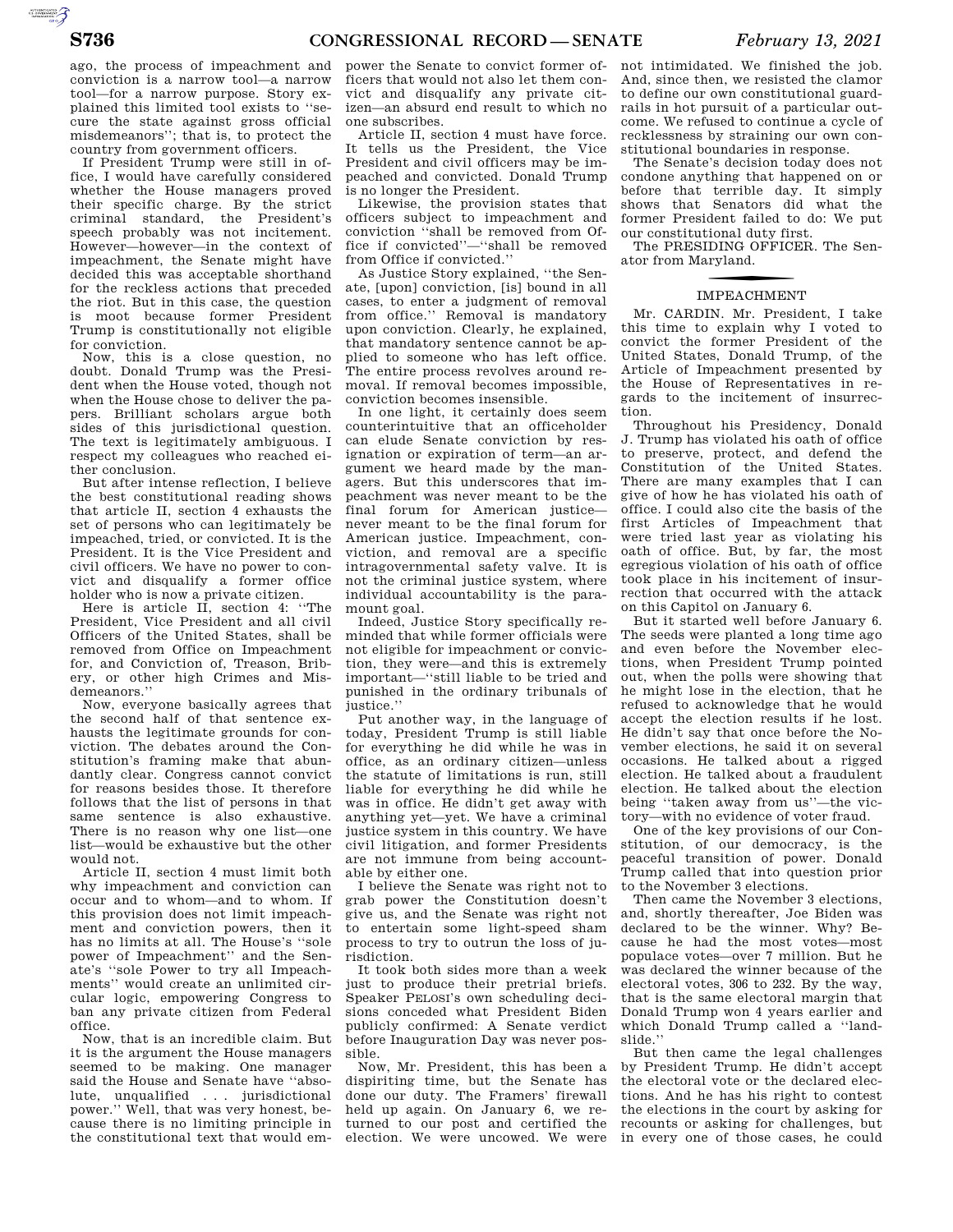ago, the process of impeachment and conviction is a narrow tool—a narrow tool—for a narrow purpose. Story explained this limited tool exists to ''secure the state against gross official misdemeanors''; that is, to protect the

country from government officers. If President Trump were still in office, I would have carefully considered whether the House managers proved their specific charge. By the strict criminal standard, the President's speech probably was not incitement. However—however—in the context of impeachment, the Senate might have decided this was acceptable shorthand for the reckless actions that preceded the riot. But in this case, the question is moot because former President Trump is constitutionally not eligible for conviction.

Now, this is a close question, no doubt. Donald Trump was the President when the House voted, though not when the House chose to deliver the papers. Brilliant scholars argue both sides of this jurisdictional question. The text is legitimately ambiguous. I respect my colleagues who reached either conclusion.

But after intense reflection, I believe the best constitutional reading shows that article II, section 4 exhausts the set of persons who can legitimately be impeached, tried, or convicted. It is the President. It is the Vice President and civil officers. We have no power to convict and disqualify a former office holder who is now a private citizen.

Here is article II, section 4: ''The President, Vice President and all civil Officers of the United States, shall be removed from Office on Impeachment for, and Conviction of, Treason, Bribery, or other high Crimes and Misdemeanors.''

Now, everyone basically agrees that the second half of that sentence exhausts the legitimate grounds for conviction. The debates around the Constitution's framing make that abundantly clear. Congress cannot convict for reasons besides those. It therefore follows that the list of persons in that same sentence is also exhaustive. There is no reason why one list—one list—would be exhaustive but the other would not.

Article II, section 4 must limit both why impeachment and conviction can occur and to whom—and to whom. If this provision does not limit impeachment and conviction powers, then it has no limits at all. The House's ''sole power of Impeachment'' and the Senate's ''sole Power to try all Impeachments'' would create an unlimited circular logic, empowering Congress to ban any private citizen from Federal office.

Now, that is an incredible claim. But it is the argument the House managers seemed to be making. One manager said the House and Senate have ''absolute, unqualified . . . jurisdictional power.'' Well, that was very honest, because there is no limiting principle in the constitutional text that would em-

power the Senate to convict former officers that would not also let them convict and disqualify any private citizen—an absurd end result to which no one subscribes.

Article II, section 4 must have force. It tells us the President, the Vice President and civil officers may be impeached and convicted. Donald Trump is no longer the President.

Likewise, the provision states that officers subject to impeachment and conviction ''shall be removed from Office if convicted''—''shall be removed from Office if convicted.''

As Justice Story explained, ''the Senate, [upon] conviction, [is] bound in all cases, to enter a judgment of removal from office.'' Removal is mandatory upon conviction. Clearly, he explained, that mandatory sentence cannot be applied to someone who has left office. The entire process revolves around removal. If removal becomes impossible, conviction becomes insensible.

In one light, it certainly does seem counterintuitive that an officeholder can elude Senate conviction by resignation or expiration of term—an argument we heard made by the managers. But this underscores that impeachment was never meant to be the final forum for American justice never meant to be the final forum for American justice. Impeachment, conviction, and removal are a specific intragovernmental safety valve. It is not the criminal justice system, where individual accountability is the paramount goal.

Indeed, Justice Story specifically reminded that while former officials were not eligible for impeachment or conviction, they were—and this is extremely important—''still liable to be tried and punished in the ordinary tribunals of justice.''

Put another way, in the language of today, President Trump is still liable for everything he did while he was in office, as an ordinary citizen—unless the statute of limitations is run, still liable for everything he did while he was in office. He didn't get away with anything yet—yet. We have a criminal justice system in this country. We have civil litigation, and former Presidents are not immune from being accountable by either one.

I believe the Senate was right not to grab power the Constitution doesn't give us, and the Senate was right not to entertain some light-speed sham process to try to outrun the loss of jurisdiction.

It took both sides more than a week just to produce their pretrial briefs. Speaker PELOSI's own scheduling decisions conceded what President Biden publicly confirmed: A Senate verdict before Inauguration Day was never possible.

Now, Mr. President, this has been a dispiriting time, but the Senate has done our duty. The Framers' firewall held up again. On January 6, we returned to our post and certified the election. We were uncowed. We were

not intimidated. We finished the job. And, since then, we resisted the clamor to define our own constitutional guardrails in hot pursuit of a particular outcome. We refused to continue a cycle of recklessness by straining our own constitutional boundaries in response.

The Senate's decision today does not condone anything that happened on or before that terrible day. It simply shows that Senators did what the former President failed to do: We put our constitutional duty first.

The PRESIDING OFFICER. The Senator from Maryland.

## **IMPEACHMENT**

Mr. CARDIN. Mr. President, I take this time to explain why I voted to convict the former President of the United States, Donald Trump, of the Article of Impeachment presented by the House of Representatives in regards to the incitement of insurrection.

Throughout his Presidency, Donald J. Trump has violated his oath of office to preserve, protect, and defend the Constitution of the United States. There are many examples that I can give of how he has violated his oath of office. I could also cite the basis of the first Articles of Impeachment that were tried last year as violating his oath of office. But, by far, the most egregious violation of his oath of office took place in his incitement of insurrection that occurred with the attack on this Capitol on January 6.

But it started well before January 6. The seeds were planted a long time ago and even before the November elections, when President Trump pointed out, when the polls were showing that he might lose in the election, that he refused to acknowledge that he would accept the election results if he lost. He didn't say that once before the November elections, he said it on several occasions. He talked about a rigged election. He talked about a fraudulent election. He talked about the election being ''taken away from us''—the victory—with no evidence of voter fraud.

One of the key provisions of our Constitution, of our democracy, is the peaceful transition of power. Donald .<br>Trump called that into question prior to the November 3 elections.

Then came the November 3 elections, and, shortly thereafter, Joe Biden was declared to be the winner. Why? Because he had the most votes—most populace votes—over 7 million. But he was declared the winner because of the electoral votes, 306 to 232. By the way, that is the same electoral margin that Donald Trump won 4 years earlier and which Donald Trump called a ''landslide.''

But then came the legal challenges by President Trump. He didn't accept the electoral vote or the declared elections. And he has his right to contest the elections in the court by asking for recounts or asking for challenges, but in every one of those cases, he could

AUTOROTOMICALE CONTINUES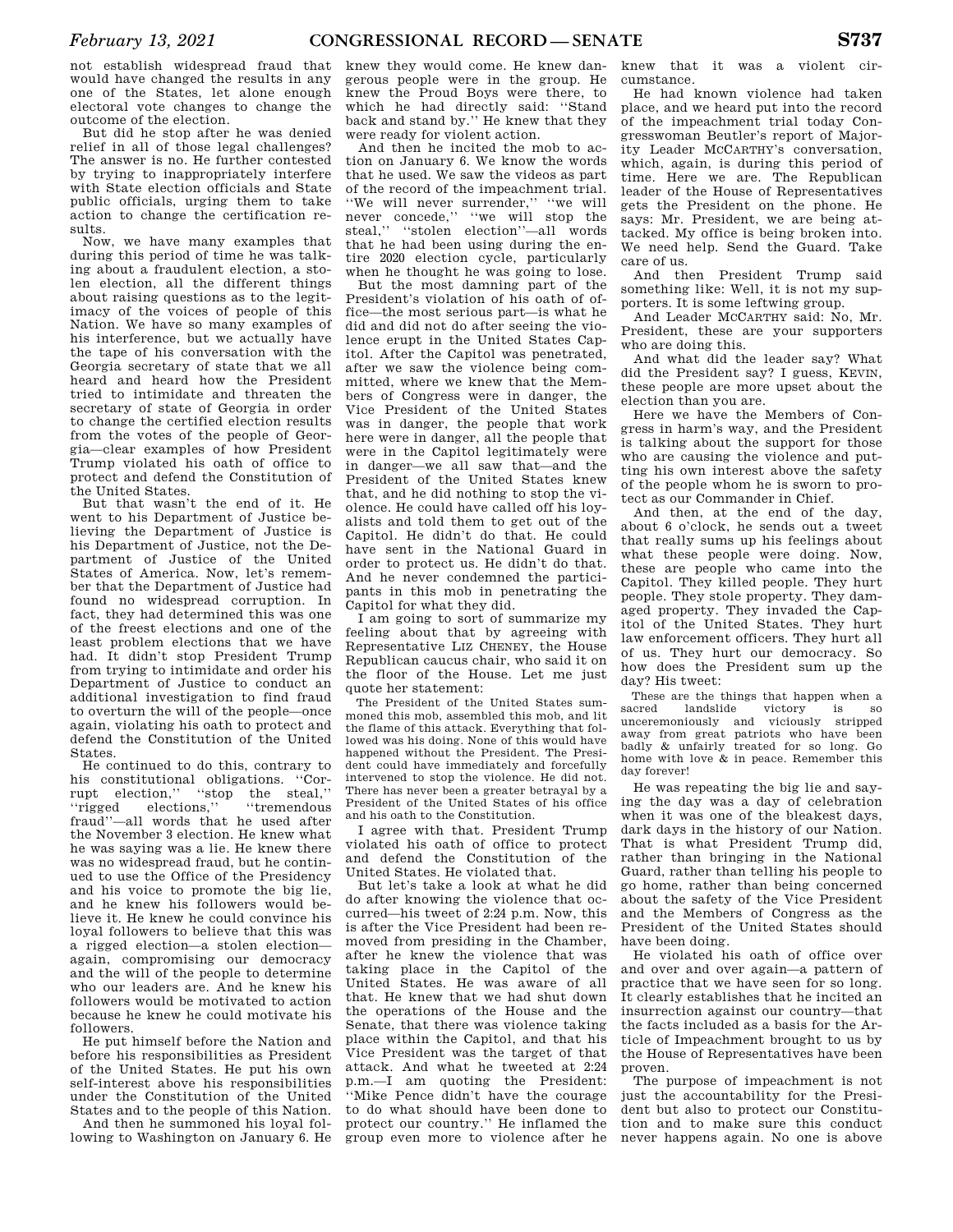not establish widespread fraud that would have changed the results in any one of the States, let alone enough electoral vote changes to change the outcome of the election.

But did he stop after he was denied relief in all of those legal challenges? The answer is no. He further contested by trying to inappropriately interfere with State election officials and State public officials, urging them to take action to change the certification results.

Now, we have many examples that during this period of time he was talking about a fraudulent election, a stolen election, all the different things about raising questions as to the legitimacy of the voices of people of this Nation. We have so many examples of his interference, but we actually have the tape of his conversation with the Georgia secretary of state that we all heard and heard how the President tried to intimidate and threaten the secretary of state of Georgia in order to change the certified election results from the votes of the people of Georgia—clear examples of how President Trump violated his oath of office to protect and defend the Constitution of the United States.

But that wasn't the end of it. He went to his Department of Justice believing the Department of Justice is his Department of Justice, not the Department of Justice of the United States of America. Now, let's remember that the Department of Justice had found no widespread corruption. In fact, they had determined this was one of the freest elections and one of the least problem elections that we have had. It didn't stop President Trump from trying to intimidate and order his Department of Justice to conduct an additional investigation to find fraud to overturn the will of the people—once again, violating his oath to protect and defend the Constitution of the United States.

He continued to do this, contrary to his constitutional obligations. ''Corrupt election,'' ''stop the steal,'' ''rigged elections,'' ''tremendous fraud''—all words that he used after the November 3 election. He knew what he was saying was a lie. He knew there was no widespread fraud, but he continued to use the Office of the Presidency and his voice to promote the big lie, and he knew his followers would believe it. He knew he could convince his loyal followers to believe that this was a rigged election—a stolen election again, compromising our democracy and the will of the people to determine who our leaders are. And he knew his followers would be motivated to action because he knew he could motivate his followers.

He put himself before the Nation and before his responsibilities as President of the United States. He put his own self-interest above his responsibilities under the Constitution of the United States and to the people of this Nation.

And then he summoned his loyal following to Washington on January 6. He knew they would come. He knew dangerous people were in the group. He knew the Proud Boys were there, to which he had directly said: ''Stand back and stand by.'' He knew that they were ready for violent action.

And then he incited the mob to action on January 6. We know the words that he used. We saw the videos as part of the record of the impeachment trial. ''We will never surrender,'' ''we will never concede,'' ''we will stop the steal,'' ''stolen election''—all words that he had been using during the entire 2020 election cycle, particularly when he thought he was going to lose.

But the most damning part of the President's violation of his oath of office—the most serious part—is what he did and did not do after seeing the violence erupt in the United States Capitol. After the Capitol was penetrated, after we saw the violence being committed, where we knew that the Members of Congress were in danger, the Vice President of the United States was in danger, the people that work here were in danger, all the people that were in the Capitol legitimately were in danger—we all saw that—and the President of the United States knew that, and he did nothing to stop the violence. He could have called off his loyalists and told them to get out of the Capitol. He didn't do that. He could have sent in the National Guard in order to protect us. He didn't do that. And he never condemned the participants in this mob in penetrating the Capitol for what they did.

I am going to sort of summarize my feeling about that by agreeing with Representative LIZ CHENEY, the House Republican caucus chair, who said it on the floor of the House. Let me just quote her statement:

The President of the United States summoned this mob, assembled this mob, and lit the flame of this attack. Everything that followed was his doing. None of this would have happened without the President. The President could have immediately and forcefully intervened to stop the violence. He did not. There has never been a greater betrayal by a President of the United States of his office and his oath to the Constitution.

I agree with that. President Trump violated his oath of office to protect and defend the Constitution of the United States. He violated that.

But let's take a look at what he did do after knowing the violence that occurred—his tweet of 2:24 p.m. Now, this is after the Vice President had been removed from presiding in the Chamber, after he knew the violence that was taking place in the Capitol of the United States. He was aware of all that. He knew that we had shut down the operations of the House and the Senate, that there was violence taking place within the Capitol, and that his Vice President was the target of that attack. And what he tweeted at 2:24 p.m.—I am quoting the President: ''Mike Pence didn't have the courage to do what should have been done to protect our country.'' He inflamed the group even more to violence after he

knew that it was a violent circumstance.

He had known violence had taken place, and we heard put into the record of the impeachment trial today Congresswoman Beutler's report of Majority Leader MCCARTHY's conversation, which, again, is during this period of time. Here we are. The Republican leader of the House of Representatives gets the President on the phone. He says: Mr. President, we are being attacked. My office is being broken into. We need help. Send the Guard. Take care of us.

And then President Trump said something like: Well, it is not my supporters. It is some leftwing group.

And Leader MCCARTHY said: No, Mr. President, these are your supporters who are doing this.

And what did the leader say? What did the President say? I guess, KEVIN, these people are more upset about the election than you are.

Here we have the Members of Congress in harm's way, and the President is talking about the support for those who are causing the violence and putting his own interest above the safety of the people whom he is sworn to protect as our Commander in Chief.

And then, at the end of the day, about 6 o'clock, he sends out a tweet that really sums up his feelings about what these people were doing. Now, these are people who came into the Capitol. They killed people. They hurt people. They stole property. They damaged property. They invaded the Capitol of the United States. They hurt law enforcement officers. They hurt all of us. They hurt our democracy. So how does the President sum up the day? His tweet:

These are the things that happen when a sacred landslide victory is so victory is so unceremoniously and viciously stripped away from great patriots who have been badly & unfairly treated for so long. Go home with love & in peace. Remember this day forever!

He was repeating the big lie and saying the day was a day of celebration when it was one of the bleakest days, dark days in the history of our Nation. That is what President Trump did, rather than bringing in the National Guard, rather than telling his people to go home, rather than being concerned about the safety of the Vice President and the Members of Congress as the President of the United States should have been doing.

He violated his oath of office over and over and over again—a pattern of practice that we have seen for so long. It clearly establishes that he incited an insurrection against our country—that the facts included as a basis for the Article of Impeachment brought to us by the House of Representatives have been proven.

The purpose of impeachment is not just the accountability for the President but also to protect our Constitution and to make sure this conduct never happens again. No one is above